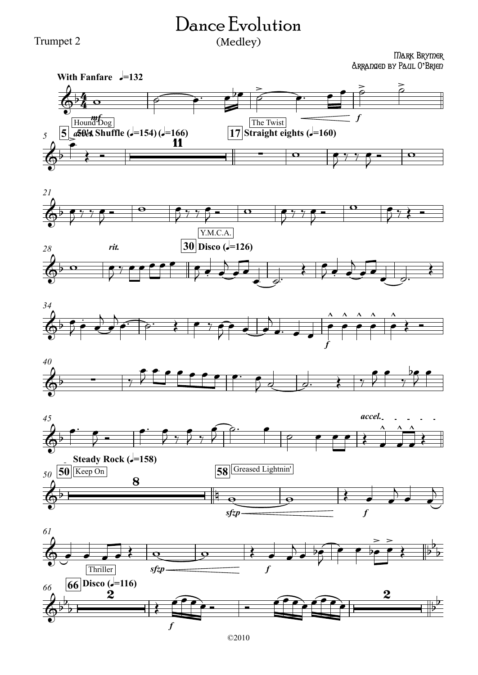## Dance Evolution (Medley)

Trumpet 2

## Mark Brymer Arranged by Paul O**'**Brien













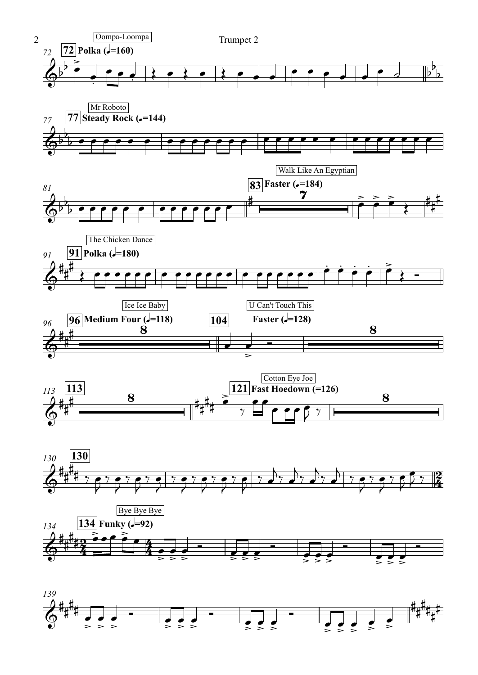